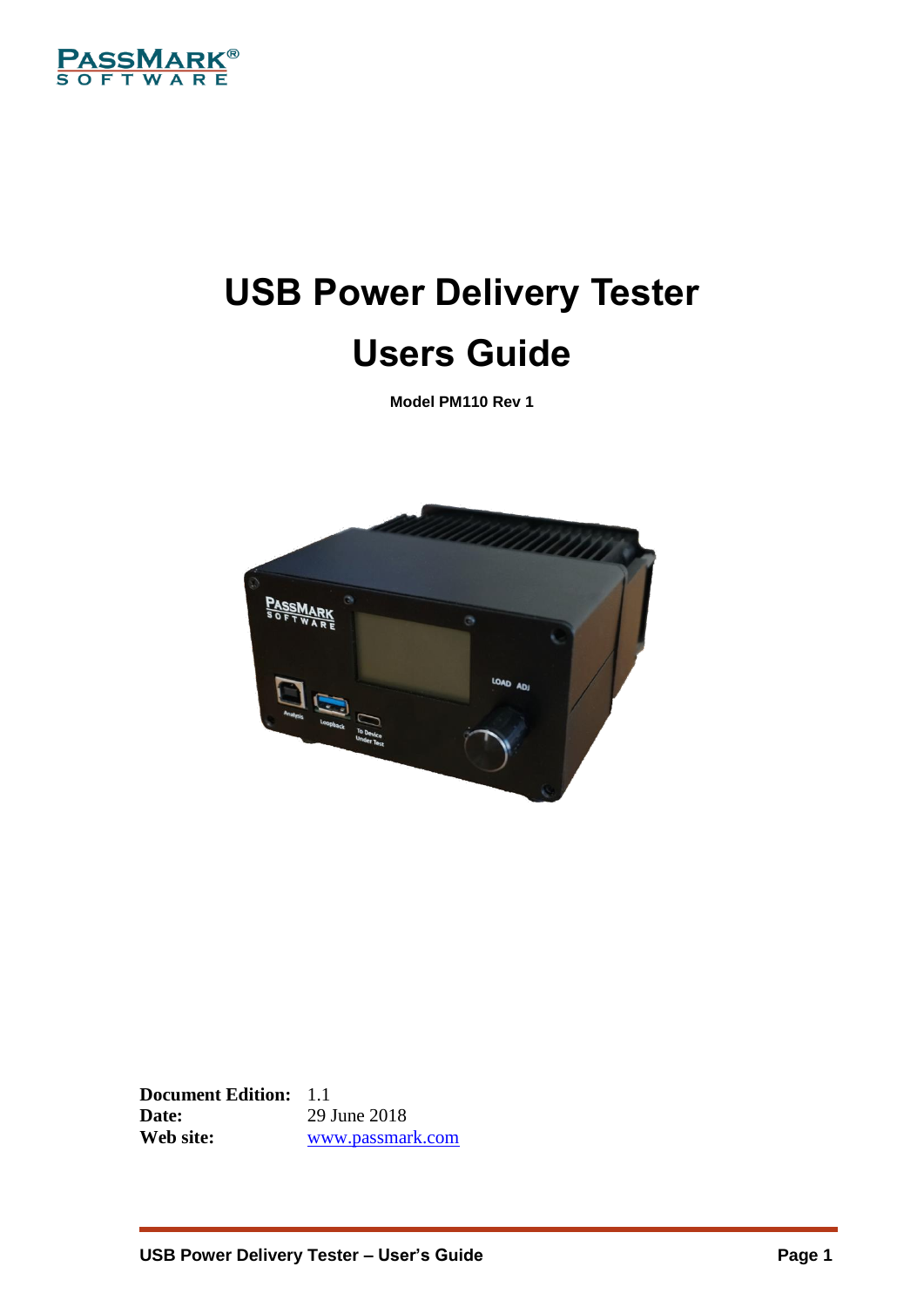

# **USB Power Delivery Tester Users Guide**

**Model PM110 Rev 1**



**Document Edition:** 1.1 **Date:** 29 June 2018<br> **Web site:** 29 Web Site: **Web site:** [www.passmark.com](http://www.passmark.com/)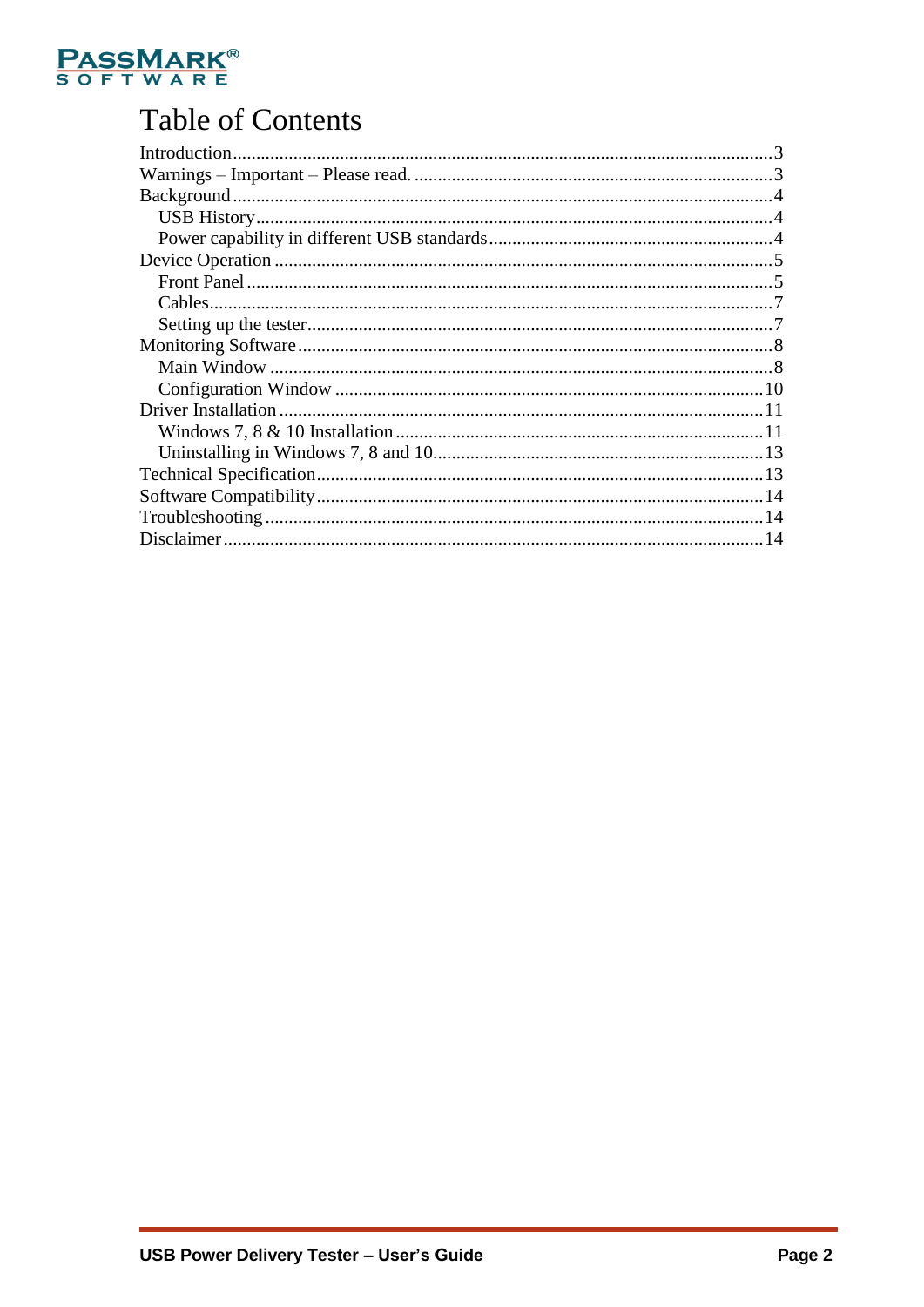

# **Table of Contents**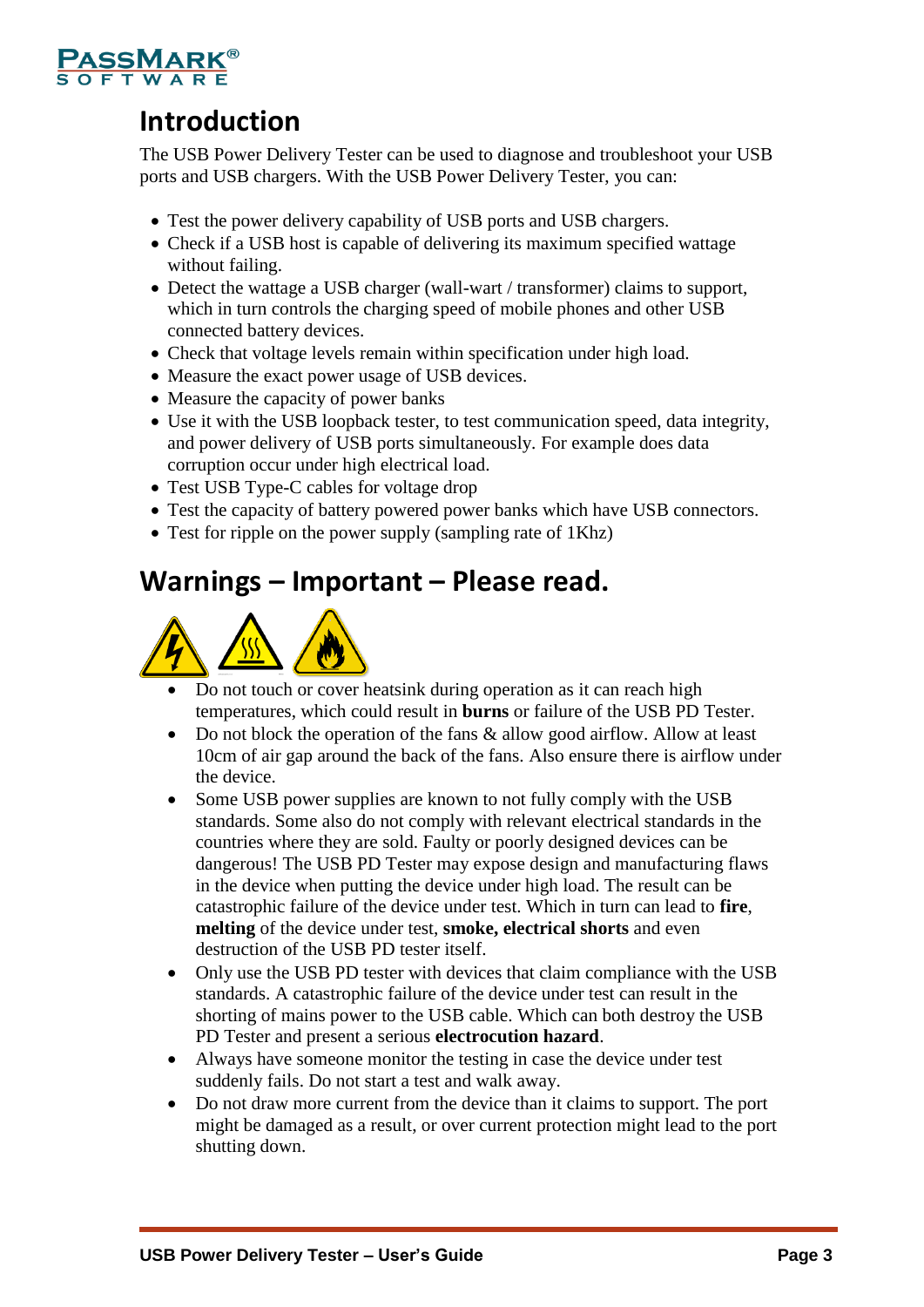

# <span id="page-2-0"></span>**Introduction**

The USB Power Delivery Tester can be used to diagnose and troubleshoot your USB ports and USB chargers. With the USB Power Delivery Tester, you can:

- Test the power delivery capability of USB ports and USB chargers.
- Check if a USB host is capable of delivering its maximum specified wattage without failing.
- Detect the wattage a USB charger (wall-wart / transformer) claims to support, which in turn controls the charging speed of mobile phones and other USB connected battery devices.
- Check that voltage levels remain within specification under high load.
- Measure the exact power usage of USB devices.
- Measure the capacity of power banks
- Use it with the USB loopback tester, to test communication speed, data integrity, and power delivery of USB ports simultaneously. For example does data corruption occur under high electrical load.
- Test USB Type-C cables for voltage drop
- Test the capacity of battery powered power banks which have USB connectors.
- Test for ripple on the power supply (sampling rate of 1Khz)

### <span id="page-2-1"></span>**Warnings – Important – Please read.**



- Do not touch or cover heatsink during operation as it can reach high temperatures, which could result in **burns** or failure of the USB PD Tester.
- Do not block the operation of the fans & allow good airflow. Allow at least 10cm of air gap around the back of the fans. Also ensure there is airflow under the device.
- Some USB power supplies are known to not fully comply with the USB standards. Some also do not comply with relevant electrical standards in the countries where they are sold. Faulty or poorly designed devices can be dangerous! The USB PD Tester may expose design and manufacturing flaws in the device when putting the device under high load. The result can be catastrophic failure of the device under test. Which in turn can lead to **fire**, **melting** of the device under test, **smoke, electrical shorts** and even destruction of the USB PD tester itself.
- Only use the USB PD tester with devices that claim compliance with the USB standards. A catastrophic failure of the device under test can result in the shorting of mains power to the USB cable. Which can both destroy the USB PD Tester and present a serious **electrocution hazard**.
- Always have someone monitor the testing in case the device under test suddenly fails. Do not start a test and walk away.
- Do not draw more current from the device than it claims to support. The port might be damaged as a result, or over current protection might lead to the port shutting down.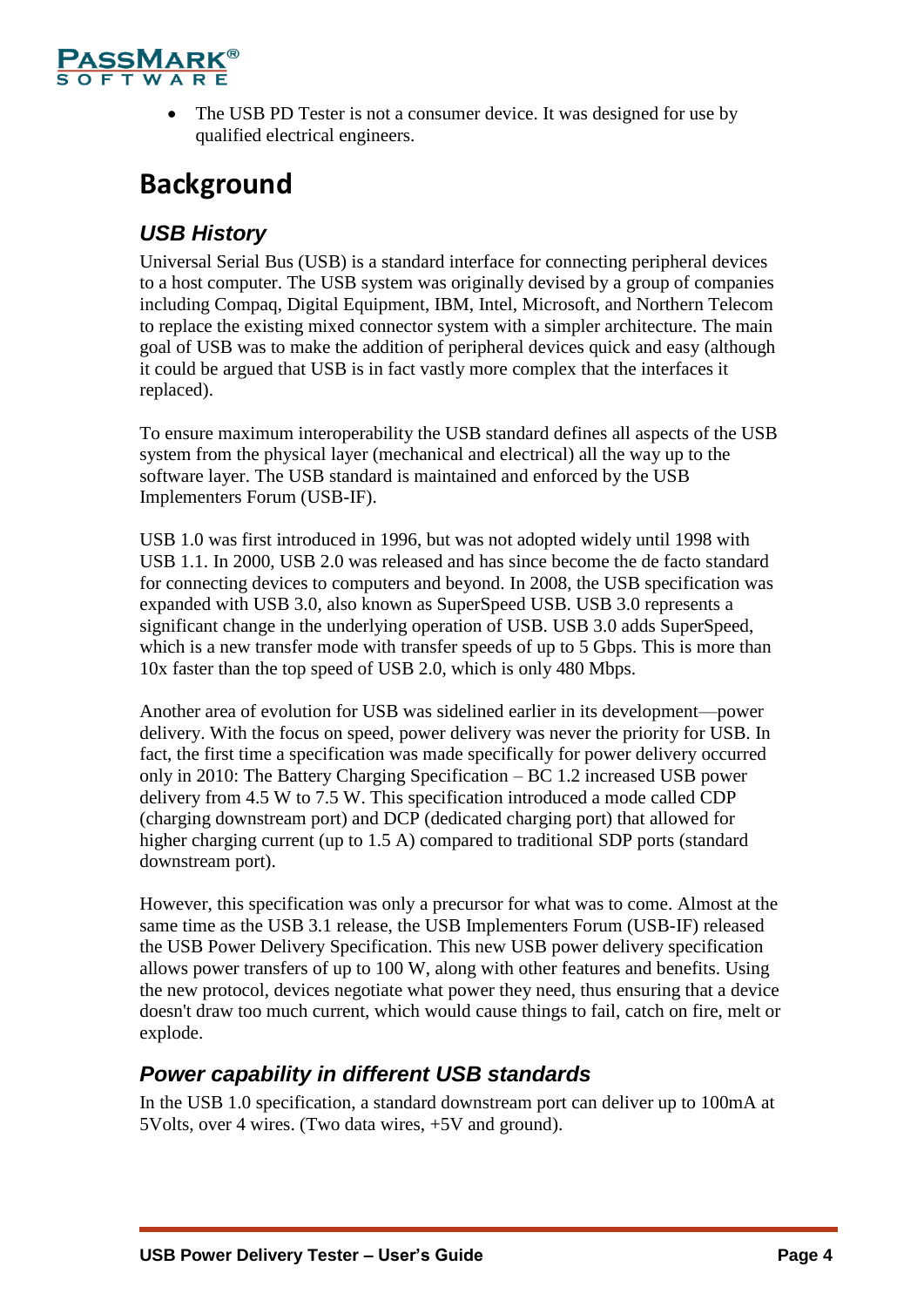

• The USB PD Tester is not a consumer device. It was designed for use by qualified electrical engineers.

# <span id="page-3-0"></span>**Background**

### <span id="page-3-1"></span>*USB History*

Universal Serial Bus (USB) is a standard interface for connecting peripheral devices to a host computer. The USB system was originally devised by a group of companies including Compaq, Digital Equipment, IBM, Intel, Microsoft, and Northern Telecom to replace the existing mixed connector system with a simpler architecture. The main goal of USB was to make the addition of peripheral devices quick and easy (although it could be argued that USB is in fact vastly more complex that the interfaces it replaced).

To ensure maximum interoperability the USB standard defines all aspects of the USB system from the physical layer (mechanical and electrical) all the way up to the software layer. The USB standard is maintained and enforced by the USB Implementers Forum (USB-IF).

USB 1.0 was first introduced in 1996, but was not adopted widely until 1998 with USB 1.1. In 2000, USB 2.0 was released and has since become the de facto standard for connecting devices to computers and beyond. In 2008, the USB specification was expanded with USB 3.0, also known as SuperSpeed USB. USB 3.0 represents a significant change in the underlying operation of USB. USB 3.0 adds SuperSpeed, which is a new transfer mode with transfer speeds of up to 5 Gbps. This is more than 10x faster than the top speed of USB 2.0, which is only 480 Mbps.

Another area of evolution for USB was sidelined earlier in its development—power delivery. With the focus on speed, power delivery was never the priority for USB. In fact, the first time a specification was made specifically for power delivery occurred only in 2010: The Battery Charging Specification – BC 1.2 increased USB power delivery from 4.5 W to 7.5 W. This specification introduced a mode called CDP (charging downstream port) and DCP (dedicated charging port) that allowed for higher charging current (up to 1.5 A) compared to traditional SDP ports (standard downstream port).

However, this specification was only a precursor for what was to come. Almost at the same time as the USB 3.1 release, the USB Implementers Forum (USB-IF) released the USB Power Delivery Specification. This new USB power delivery specification allows power transfers of up to 100 W, along with other features and benefits. Using the new protocol, devices negotiate what power they need, thus ensuring that a device doesn't draw too much current, which would cause things to fail, catch on fire, melt or explode.

### <span id="page-3-2"></span>*Power capability in different USB standards*

In the USB 1.0 specification, a standard downstream port can deliver up to 100mA at 5Volts, over 4 wires. (Two data wires, +5V and ground).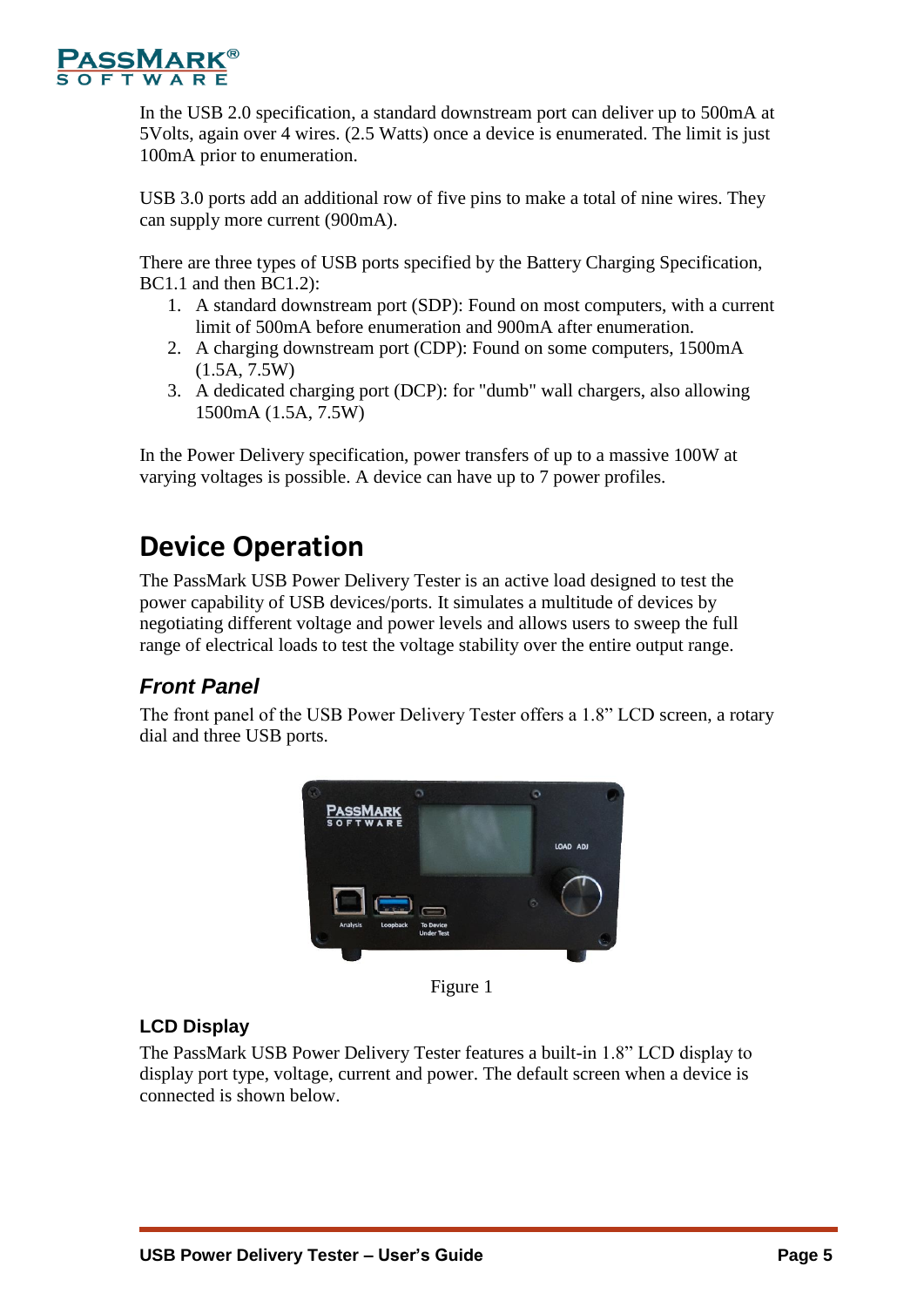

In the USB 2.0 specification, a standard downstream port can deliver up to 500mA at 5Volts, again over 4 wires. (2.5 Watts) once a device is enumerated. The limit is just 100mA prior to enumeration.

USB 3.0 ports add an additional row of five pins to make a total of nine wires. They can supply more current (900mA).

There are three types of USB ports specified by the Battery Charging Specification, BC1.1 and then BC1.2):

- 1. A standard downstream port (SDP): Found on most computers, with a current limit of 500mA before enumeration and 900mA after enumeration.
- 2. A charging downstream port (CDP): Found on some computers, 1500mA (1.5A, 7.5W)
- 3. A dedicated charging port (DCP): for "dumb" wall chargers, also allowing 1500mA (1.5A, 7.5W)

In the Power Delivery specification, power transfers of up to a massive 100W at varying voltages is possible. A device can have up to 7 power profiles.

# <span id="page-4-0"></span>**Device Operation**

The PassMark USB Power Delivery Tester is an active load designed to test the power capability of USB devices/ports. It simulates a multitude of devices by negotiating different voltage and power levels and allows users to sweep the full range of electrical loads to test the voltage stability over the entire output range.

### <span id="page-4-1"></span>*Front Panel*

The front panel of the USB Power Delivery Tester offers a 1.8" LCD screen, a rotary dial and three USB ports.



Figure 1

#### **LCD Display**

The PassMark USB Power Delivery Tester features a built-in 1.8" LCD display to display port type, voltage, current and power. The default screen when a device is connected is shown below.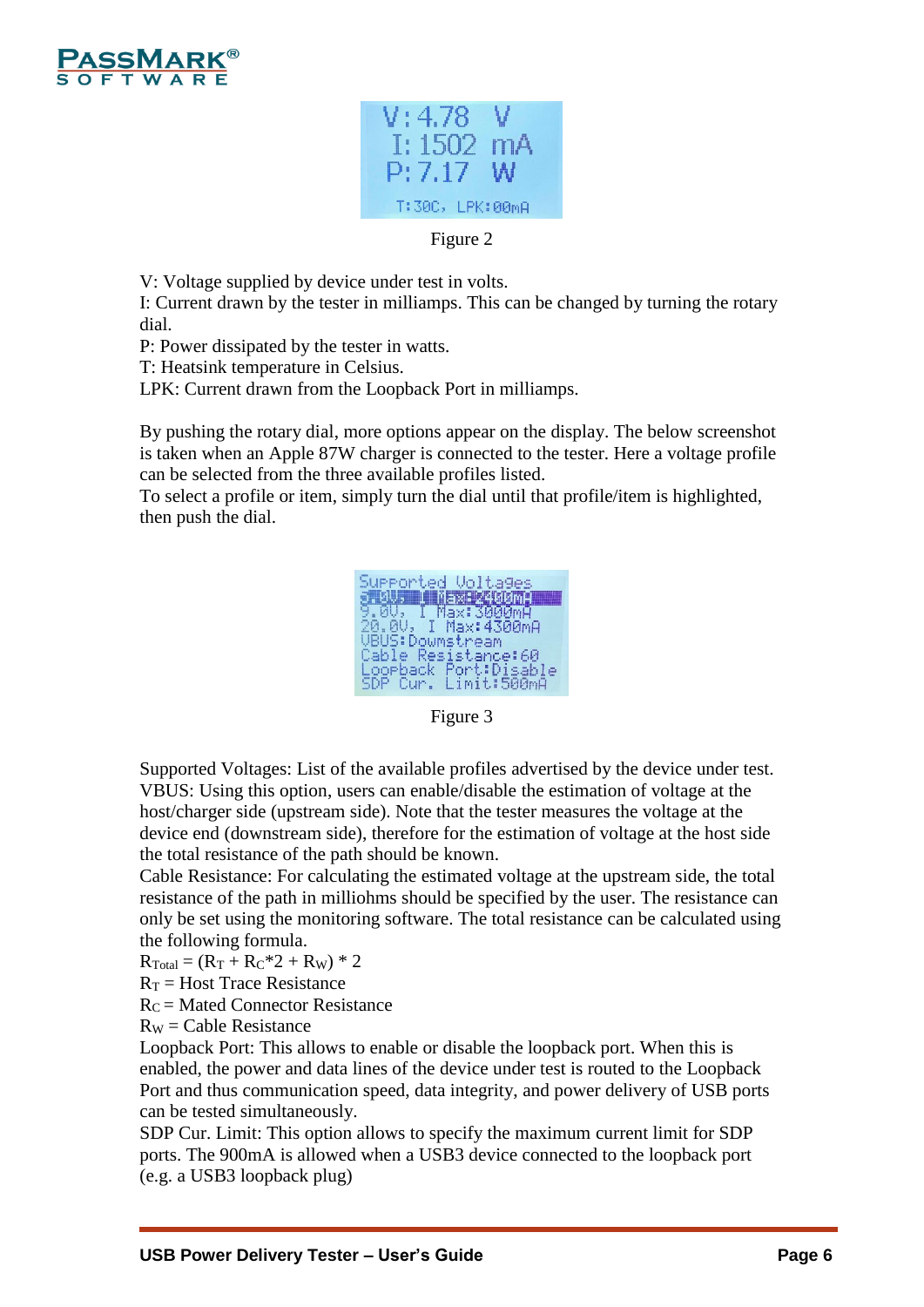



Figure 2

V: Voltage supplied by device under test in volts.

I: Current drawn by the tester in milliamps. This can be changed by turning the rotary dial.

P: Power dissipated by the tester in watts.

T: Heatsink temperature in Celsius.

LPK: Current drawn from the Loopback Port in milliamps.

By pushing the rotary dial, more options appear on the display. The below screenshot is taken when an Apple 87W charger is connected to the tester. Here a voltage profile can be selected from the three available profiles listed.

To select a profile or item, simply turn the dial until that profile/item is highlighted, then push the dial.



Figure 3

Supported Voltages: List of the available profiles advertised by the device under test. VBUS: Using this option, users can enable/disable the estimation of voltage at the host/charger side (upstream side). Note that the tester measures the voltage at the device end (downstream side), therefore for the estimation of voltage at the host side the total resistance of the path should be known.

Cable Resistance: For calculating the estimated voltage at the upstream side, the total resistance of the path in milliohms should be specified by the user. The resistance can only be set using the monitoring software. The total resistance can be calculated using the following formula.

 $R_{\text{Total}} = (R_T + R_C^* 2 + R_W)^* 2$ 

 $R_T$  = Host Trace Resistance

 $R_C$  = Mated Connector Resistance

 $R_W =$ Cable Resistance

Loopback Port: This allows to enable or disable the loopback port. When this is enabled, the power and data lines of the device under test is routed to the Loopback Port and thus communication speed, data integrity, and power delivery of USB ports can be tested simultaneously.

SDP Cur. Limit: This option allows to specify the maximum current limit for SDP ports. The 900mA is allowed when a USB3 device connected to the loopback port (e.g. a USB3 loopback plug)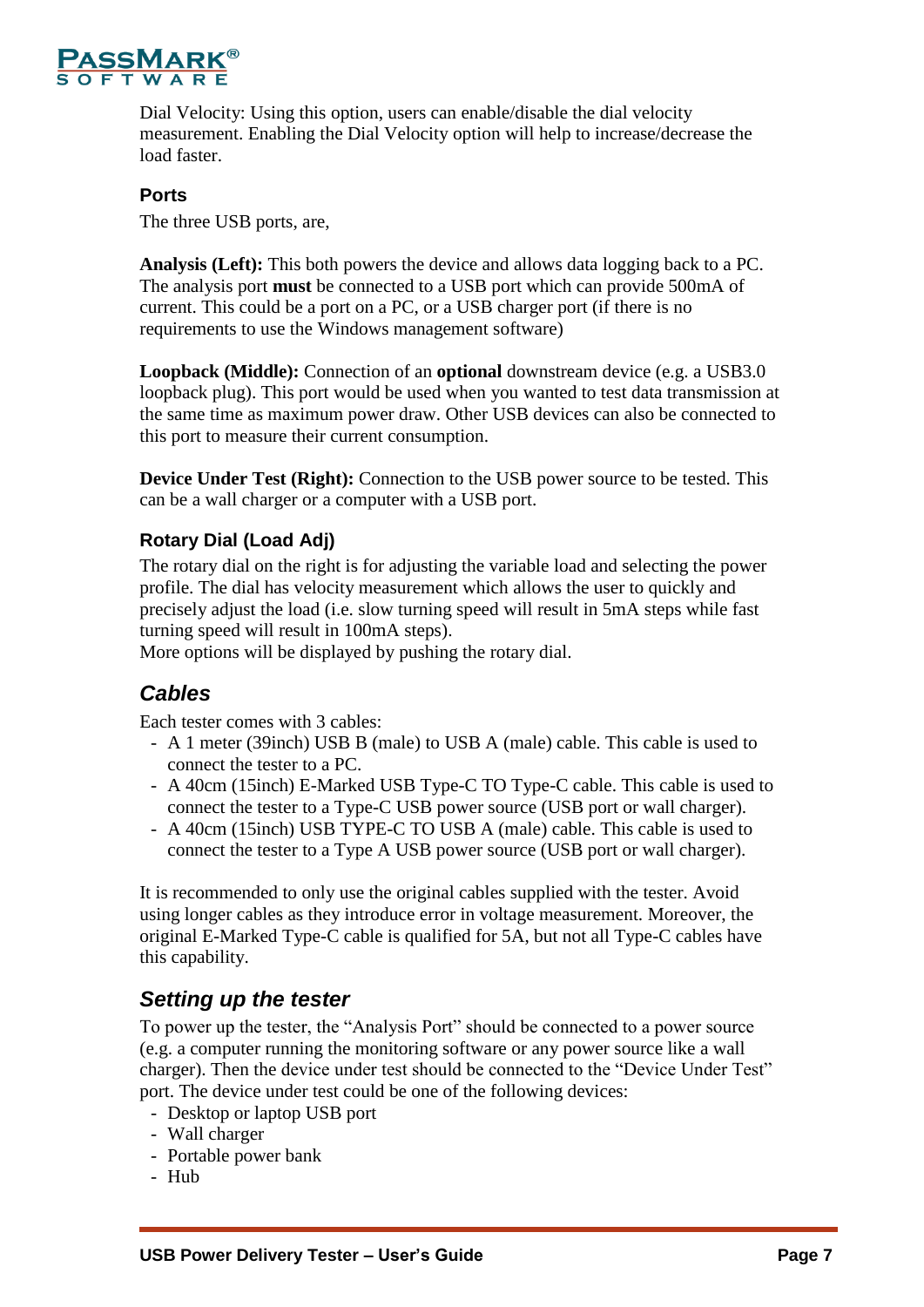

Dial Velocity: Using this option, users can enable/disable the dial velocity measurement. Enabling the Dial Velocity option will help to increase/decrease the load faster.

#### **Ports**

The three USB ports, are,

**Analysis (Left):** This both powers the device and allows data logging back to a PC. The analysis port **must** be connected to a USB port which can provide 500mA of current. This could be a port on a PC, or a USB charger port (if there is no requirements to use the Windows management software)

**Loopback (Middle):** Connection of an **optional** downstream device (e.g. a USB3.0 loopback plug). This port would be used when you wanted to test data transmission at the same time as maximum power draw. Other USB devices can also be connected to this port to measure their current consumption.

**Device Under Test (Right):** Connection to the USB power source to be tested. This can be a wall charger or a computer with a USB port.

#### **Rotary Dial (Load Adj)**

The rotary dial on the right is for adjusting the variable load and selecting the power profile. The dial has velocity measurement which allows the user to quickly and precisely adjust the load (i.e. slow turning speed will result in 5mA steps while fast turning speed will result in 100mA steps).

<span id="page-6-0"></span>More options will be displayed by pushing the rotary dial.

### *Cables*

Each tester comes with 3 cables:

- A 1 meter (39inch) USB B (male) to USB A (male) cable. This cable is used to connect the tester to a PC.
- A 40cm (15inch) E-Marked USB Type-C TO Type-C cable. This cable is used to connect the tester to a Type-C USB power source (USB port or wall charger).
- A 40cm (15inch) USB TYPE-C TO USB A (male) cable. This cable is used to connect the tester to a Type A USB power source (USB port or wall charger).

It is recommended to only use the original cables supplied with the tester. Avoid using longer cables as they introduce error in voltage measurement. Moreover, the original E-Marked Type-C cable is qualified for 5A, but not all Type-C cables have this capability.

### <span id="page-6-1"></span>*Setting up the tester*

To power up the tester, the "Analysis Port" should be connected to a power source (e.g. a computer running the monitoring software or any power source like a wall charger). Then the device under test should be connected to the "Device Under Test" port. The device under test could be one of the following devices:

- Desktop or laptop USB port
- Wall charger
- Portable power bank
- Hub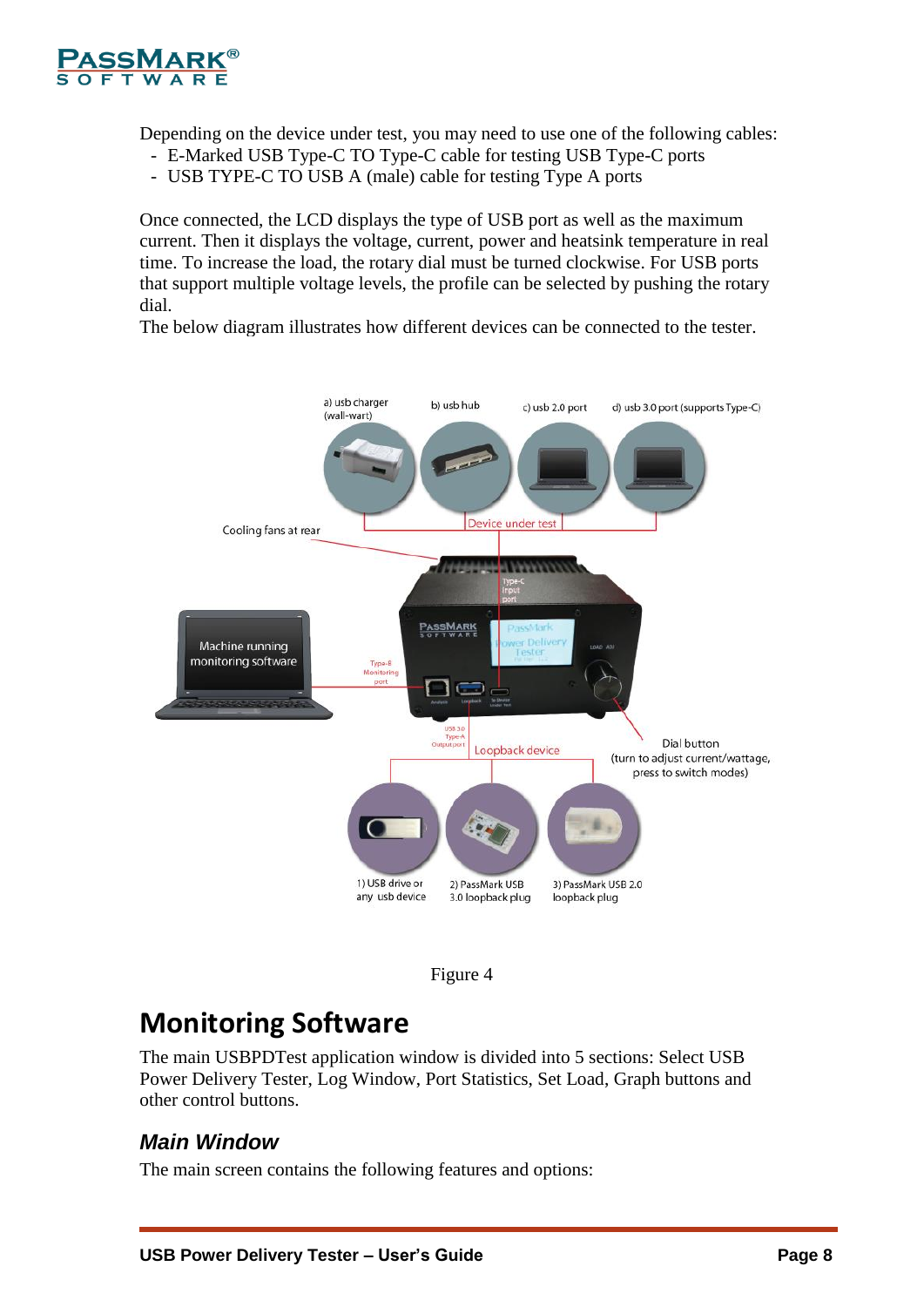

Depending on the device under test, you may need to use one of the following cables:

- E-Marked USB Type-C TO Type-C cable for testing USB Type-C ports
- USB TYPE-C TO USB A (male) cable for testing Type A ports

Once connected, the LCD displays the type of USB port as well as the maximum current. Then it displays the voltage, current, power and heatsink temperature in real time. To increase the load, the rotary dial must be turned clockwise. For USB ports that support multiple voltage levels, the profile can be selected by pushing the rotary dial.

The below diagram illustrates how different devices can be connected to the tester.





## <span id="page-7-0"></span>**Monitoring Software**

The main USBPDTest application window is divided into 5 sections: Select USB Power Delivery Tester, Log Window, Port Statistics, Set Load, Graph buttons and other control buttons.

### <span id="page-7-1"></span>*Main Window*

The main screen contains the following features and options: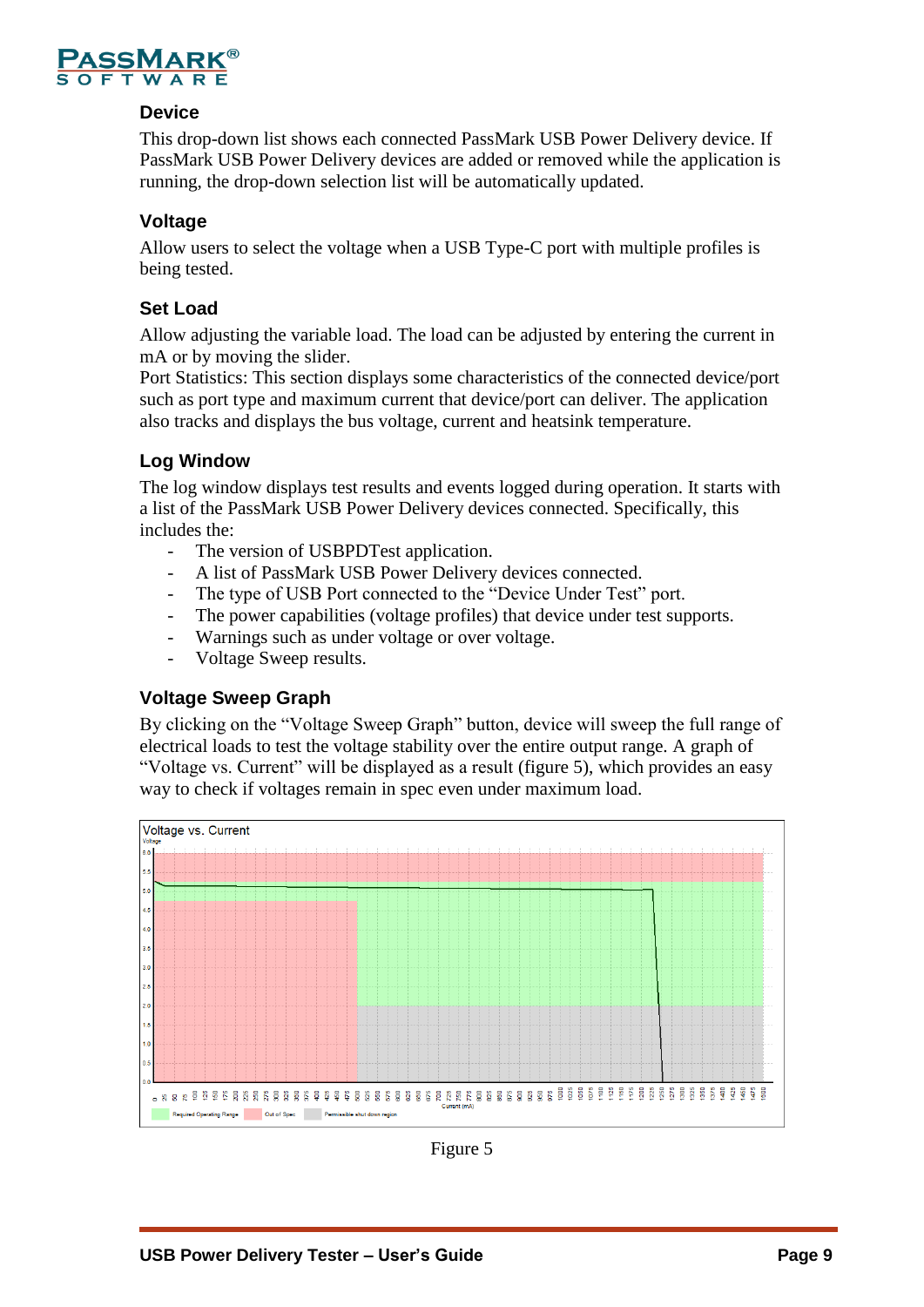

#### **Device**

This drop-down list shows each connected PassMark USB Power Delivery device. If PassMark USB Power Delivery devices are added or removed while the application is running, the drop-down selection list will be automatically updated.

#### **Voltage**

Allow users to select the voltage when a USB Type-C port with multiple profiles is being tested.

#### **Set Load**

Allow adjusting the variable load. The load can be adjusted by entering the current in mA or by moving the slider.

Port Statistics: This section displays some characteristics of the connected device/port such as port type and maximum current that device/port can deliver. The application also tracks and displays the bus voltage, current and heatsink temperature.

#### **Log Window**

The log window displays test results and events logged during operation. It starts with a list of the PassMark USB Power Delivery devices connected. Specifically, this includes the:

- The version of USBPDTest application.
- A list of PassMark USB Power Delivery devices connected.
- The type of USB Port connected to the "Device Under Test" port.
- The power capabilities (voltage profiles) that device under test supports.
- Warnings such as under voltage or over voltage.
- Voltage Sweep results.

#### **Voltage Sweep Graph**

By clicking on the "Voltage Sweep Graph" button, device will sweep the full range of electrical loads to test the voltage stability over the entire output range. A graph of "Voltage vs. Current" will be displayed as a result (figure 5), which provides an easy way to check if voltages remain in spec even under maximum load.



Figure 5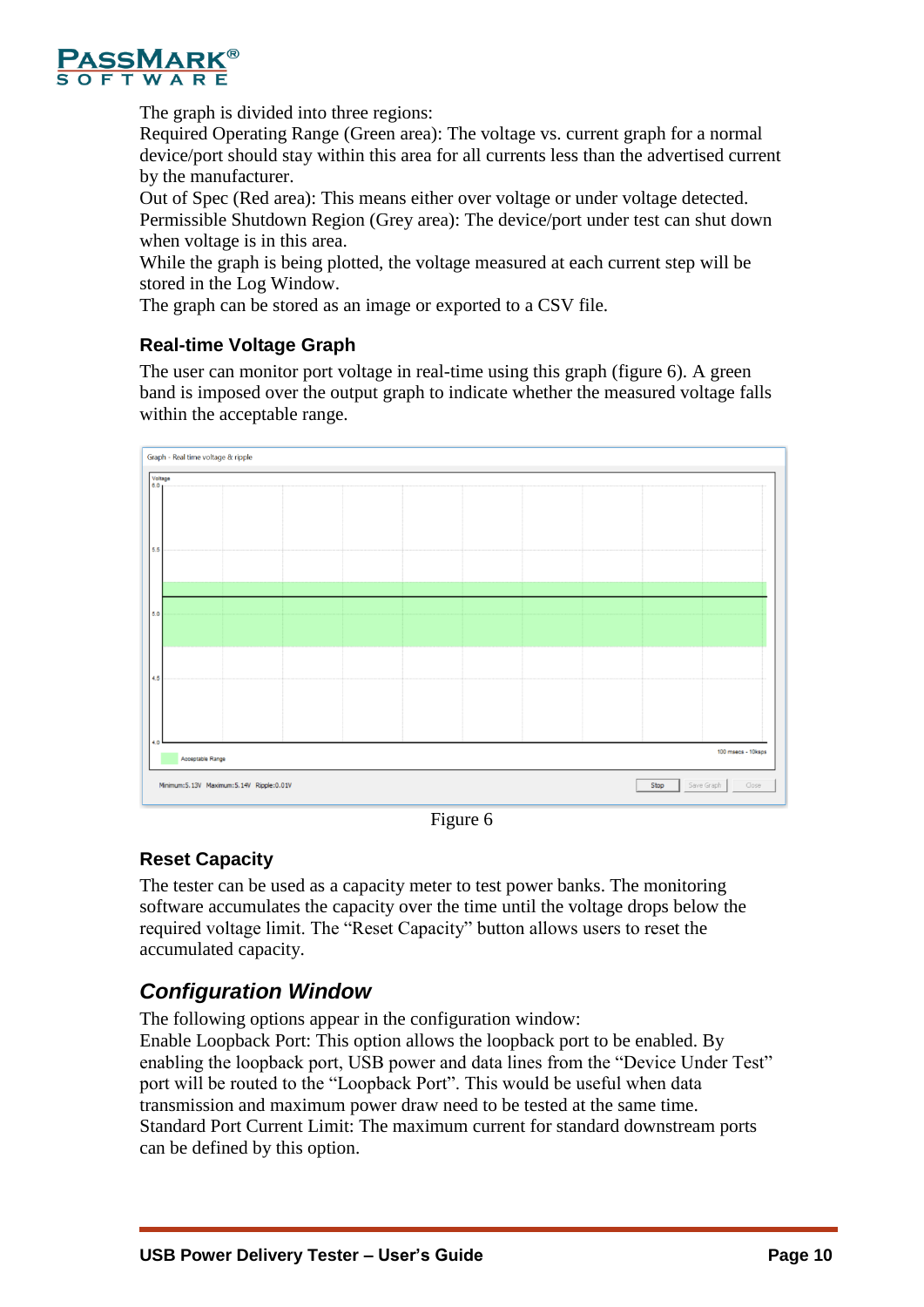

The graph is divided into three regions:

Required Operating Range (Green area): The voltage vs. current graph for a normal device/port should stay within this area for all currents less than the advertised current by the manufacturer.

Out of Spec (Red area): This means either over voltage or under voltage detected. Permissible Shutdown Region (Grey area): The device/port under test can shut down when voltage is in this area.

While the graph is being plotted, the voltage measured at each current step will be stored in the Log Window.

The graph can be stored as an image or exported to a CSV file.

#### **Real-time Voltage Graph**

The user can monitor port voltage in real-time using this graph (figure 6). A green band is imposed over the output graph to indicate whether the measured voltage falls within the acceptable range.



Figure 6

#### **Reset Capacity**

The tester can be used as a capacity meter to test power banks. The monitoring software accumulates the capacity over the time until the voltage drops below the required voltage limit. The "Reset Capacity" button allows users to reset the accumulated capacity.

### <span id="page-9-0"></span>*Configuration Window*

The following options appear in the configuration window:

Enable Loopback Port: This option allows the loopback port to be enabled. By enabling the loopback port, USB power and data lines from the "Device Under Test" port will be routed to the "Loopback Port". This would be useful when data transmission and maximum power draw need to be tested at the same time. Standard Port Current Limit: The maximum current for standard downstream ports can be defined by this option.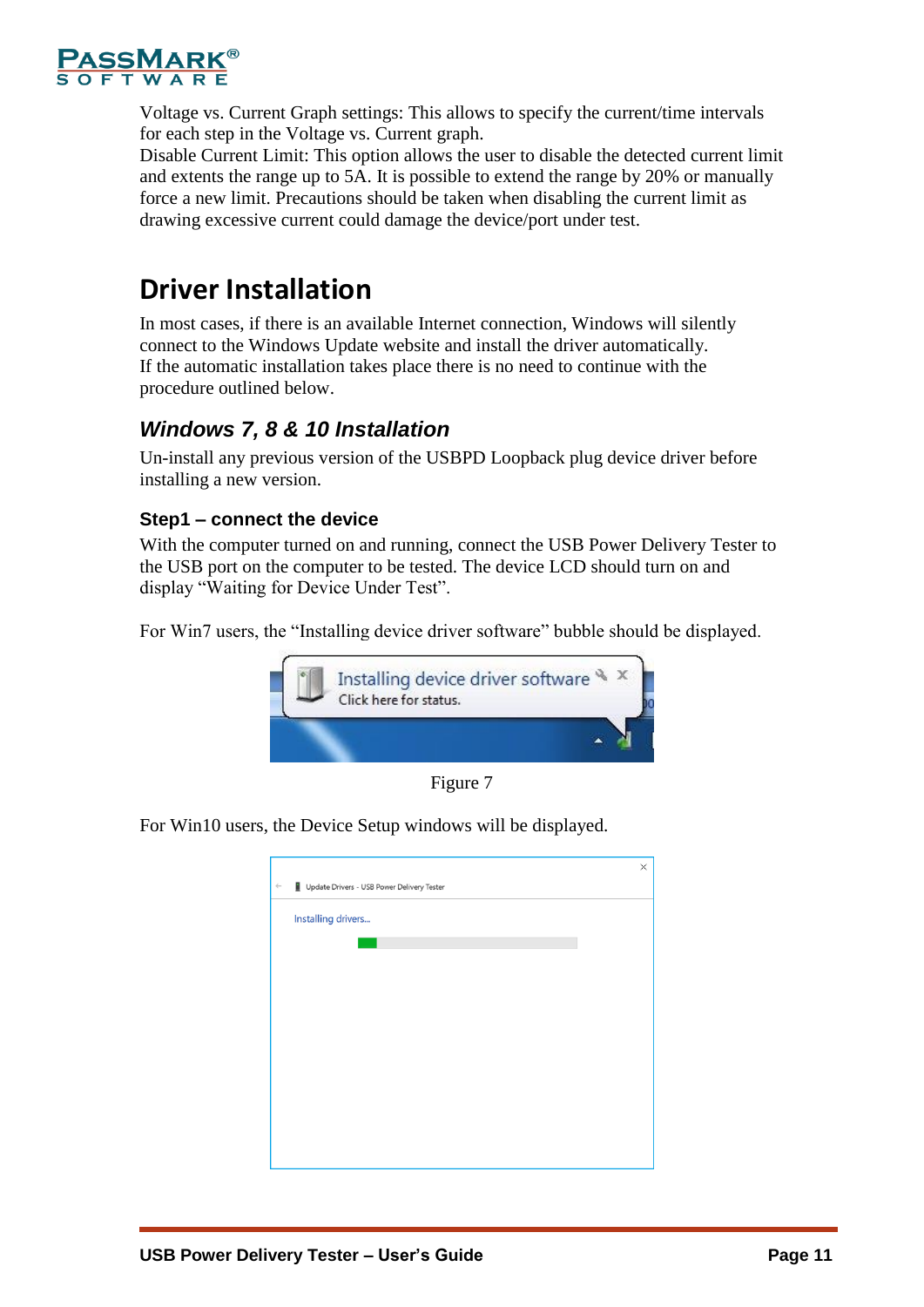

Voltage vs. Current Graph settings: This allows to specify the current/time intervals for each step in the Voltage vs. Current graph.

Disable Current Limit: This option allows the user to disable the detected current limit and extents the range up to 5A. It is possible to extend the range by 20% or manually force a new limit. Precautions should be taken when disabling the current limit as drawing excessive current could damage the device/port under test.

# <span id="page-10-0"></span>**Driver Installation**

In most cases, if there is an available Internet connection, Windows will silently connect to the Windows Update website and install the driver automatically. If the automatic installation takes place there is no need to continue with the procedure outlined below.

### <span id="page-10-1"></span>*Windows 7, 8 & 10 Installation*

Un-install any previous version of the USBPD Loopback plug device driver before installing a new version.

#### **Step1 – connect the device**

With the computer turned on and running, connect the USB Power Delivery Tester to the USB port on the computer to be tested. The device LCD should turn on and display "Waiting for Device Under Test".

For Win7 users, the "Installing device driver software" bubble should be displayed.



Figure 7

For Win10 users, the Device Setup windows will be displayed.

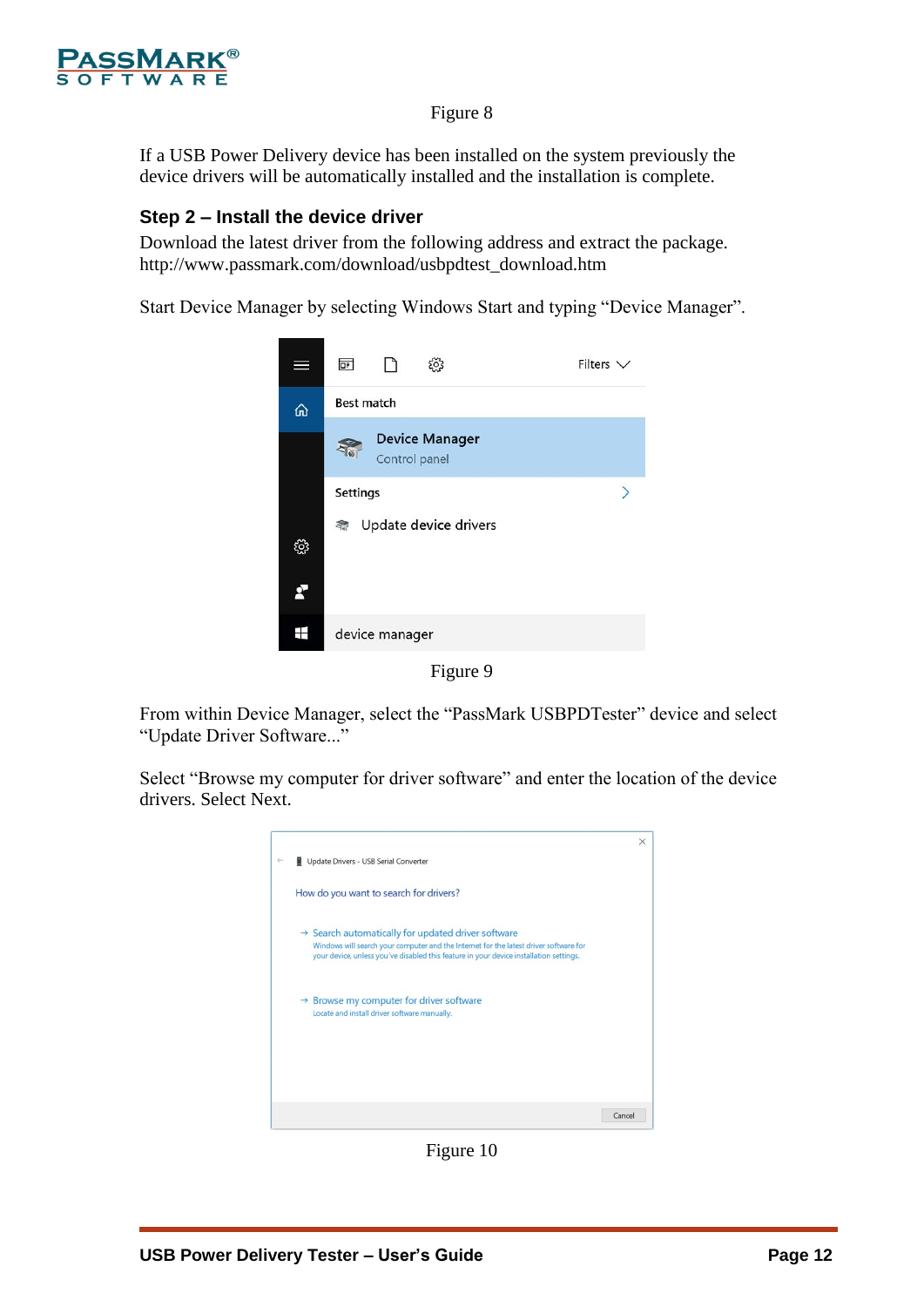

#### Figure 8

If a USB Power Delivery device has been installed on the system previously the device drivers will be automatically installed and the installation is complete.

#### **Step 2 – Install the device driver**

Download the latest driver from the following address and extract the package. http://www.passmark.com/download/usbpdtest\_download.htm

Start Device Manager by selecting Windows Start and typing "Device Manager".



Figure 9

From within Device Manager, select the "PassMark USBPDTester" device and select "Update Driver Software..."

Select "Browse my computer for driver software" and enter the location of the device drivers. Select Next.



Figure 10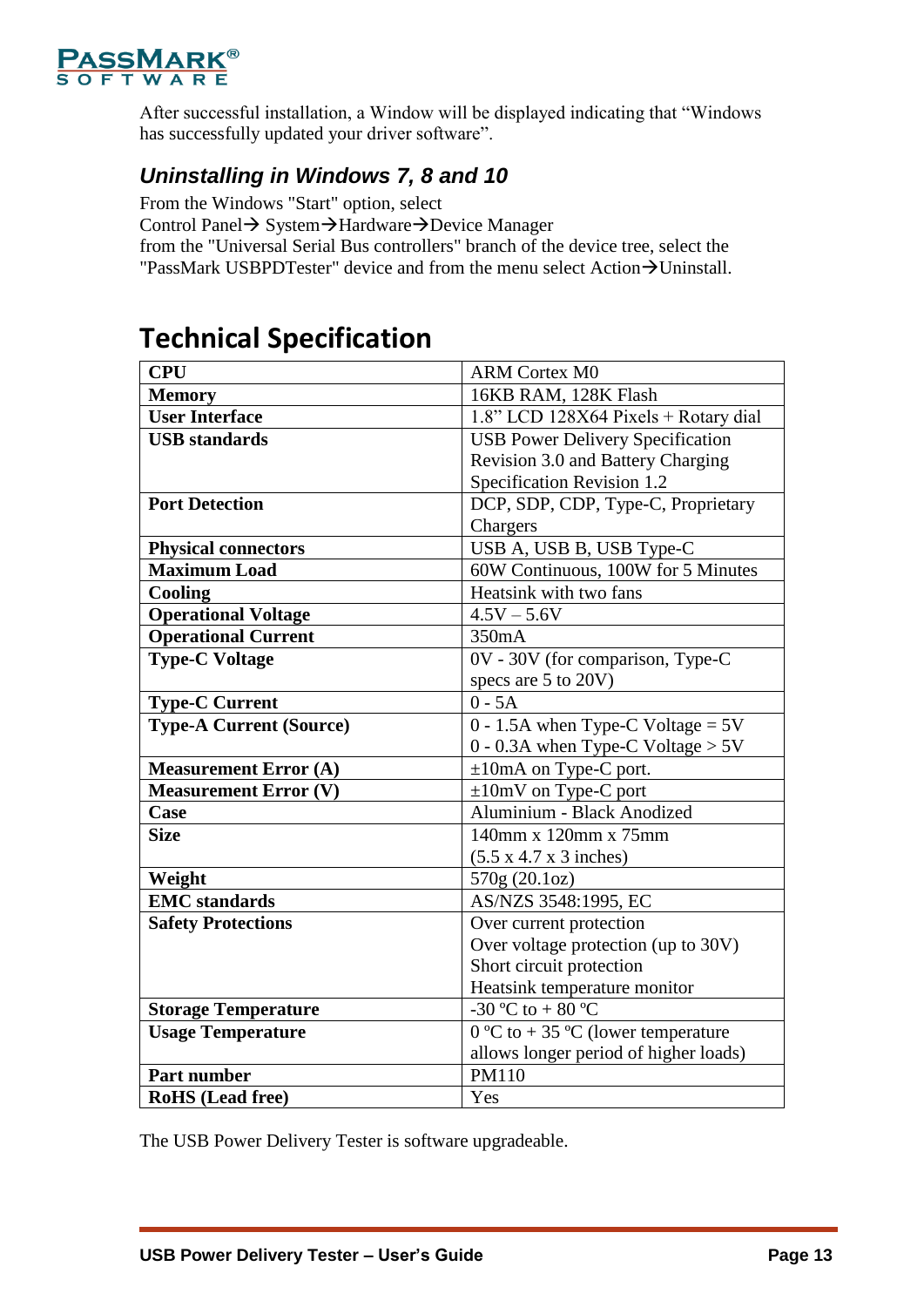

After successful installation, a Window will be displayed indicating that "Windows has successfully updated your driver software".

### <span id="page-12-0"></span>*Uninstalling in Windows 7, 8 and 10*

From the Windows "Start" option, select

Control Panel→ System→Hardware→Device Manager

from the "Universal Serial Bus controllers" branch of the device tree, select the "PassMark USBPDTester" device and from the menu select Action $\rightarrow$ Uninstall.

# <span id="page-12-1"></span>**Technical Specification**

| <b>CPU</b>                     | <b>ARM Cortex M0</b>                        |
|--------------------------------|---------------------------------------------|
| <b>Memory</b>                  | 16KB RAM, 128K Flash                        |
| <b>User Interface</b>          | 1.8" LCD 128X64 Pixels + Rotary dial        |
| <b>USB</b> standards           | <b>USB Power Delivery Specification</b>     |
|                                | Revision 3.0 and Battery Charging           |
|                                | Specification Revision 1.2                  |
| <b>Port Detection</b>          | DCP, SDP, CDP, Type-C, Proprietary          |
|                                | Chargers                                    |
| <b>Physical connectors</b>     | USB A, USB B, USB Type-C                    |
| <b>Maximum Load</b>            | 60W Continuous, 100W for 5 Minutes          |
| Cooling                        | Heatsink with two fans                      |
| <b>Operational Voltage</b>     | $4.5V - 5.6V$                               |
| <b>Operational Current</b>     | 350mA                                       |
| <b>Type-C Voltage</b>          | 0V - 30V (for comparison, Type-C            |
|                                | specs are 5 to 20V)                         |
| <b>Type-C Current</b>          | $0 - 5A$                                    |
| <b>Type-A Current (Source)</b> | $0 - 1.5A$ when Type-C Voltage = 5V         |
|                                | 0 - 0.3A when Type-C Voltage $> 5V$         |
| <b>Measurement Error (A)</b>   | $\pm 10$ mA on Type-C port.                 |
| <b>Measurement Error (V)</b>   | $\pm 10$ mV on Type-C port                  |
| Case                           | Aluminium - Black Anodized                  |
| <b>Size</b>                    | 140mm x 120mm x 75mm                        |
|                                | $(5.5 \times 4.7 \times 3 \text{ inches})$  |
| Weight                         | 570g (20.1oz)                               |
| <b>EMC</b> standards           | AS/NZS 3548:1995, EC                        |
| <b>Safety Protections</b>      | Over current protection                     |
|                                | Over voltage protection (up to 30V)         |
|                                | Short circuit protection                    |
|                                | Heatsink temperature monitor                |
| <b>Storage Temperature</b>     | -30 °C to + 80 °C                           |
| <b>Usage Temperature</b>       | $0^{\circ}$ C to + 35 °C (lower temperature |
|                                | allows longer period of higher loads)       |
| <b>Part number</b>             | PM110                                       |
| <b>RoHS</b> (Lead free)        | Yes                                         |

The USB Power Delivery Tester is software upgradeable.